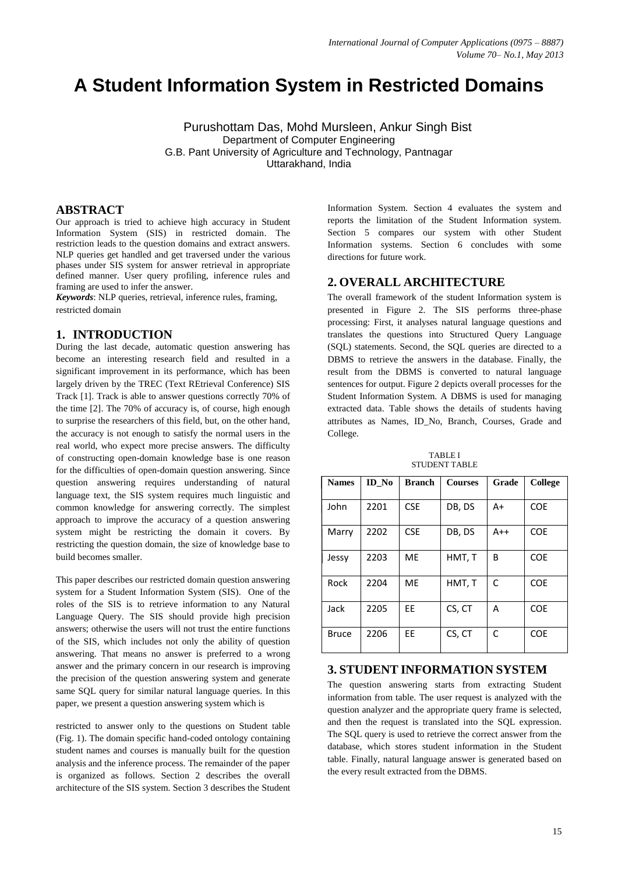# **A Student Information System in Restricted Domains**

Purushottam Das, Mohd Mursleen, Ankur Singh Bist Department of Computer Engineering G.B. Pant University of Agriculture and Technology, Pantnagar Uttarakhand, India

# **ABSTRACT**

Our approach is tried to achieve high accuracy in Student Information System (SIS) in restricted domain. The restriction leads to the question domains and extract answers. NLP queries get handled and get traversed under the various phases under SIS system for answer retrieval in appropriate defined manner. User query profiling, inference rules and framing are used to infer the answer.

*Keywords*: NLP queries, retrieval, inference rules, framing, restricted domain

## **1. INTRODUCTION**

During the last decade, automatic question answering has become an interesting research field and resulted in a significant improvement in its performance, which has been largely driven by the TREC (Text REtrieval Conference) SIS Track [1]. Track is able to answer questions correctly 70% of the time [2]. The 70% of accuracy is, of course, high enough to surprise the researchers of this field, but, on the other hand, the accuracy is not enough to satisfy the normal users in the real world, who expect more precise answers. The difficulty of constructing open-domain knowledge base is one reason for the difficulties of open-domain question answering. Since question answering requires understanding of natural language text, the SIS system requires much linguistic and common knowledge for answering correctly. The simplest approach to improve the accuracy of a question answering system might be restricting the domain it covers. By restricting the question domain, the size of knowledge base to build becomes smaller.

This paper describes our restricted domain question answering system for a Student Information System (SIS). One of the roles of the SIS is to retrieve information to any Natural Language Query. The SIS should provide high precision answers; otherwise the users will not trust the entire functions of the SIS, which includes not only the ability of question answering. That means no answer is preferred to a wrong answer and the primary concern in our research is improving the precision of the question answering system and generate same SQL query for similar natural language queries. In this paper, we present a question answering system which is

restricted to answer only to the questions on Student table (Fig. 1). The domain specific hand-coded ontology containing student names and courses is manually built for the question analysis and the inference process. The remainder of the paper is organized as follows. Section 2 describes the overall architecture of the SIS system. Section 3 describes the Student

Information System. Section 4 evaluates the system and reports the limitation of the Student Information system. Section 5 compares our system with other Student Information systems. Section 6 concludes with some directions for future work.

# **2. OVERALL ARCHITECTURE**

The overall framework of the student Information system is presented in Figure 2. The SIS performs three-phase processing: First, it analyses natural language questions and translates the questions into Structured Query Language (SQL) statements. Second, the SQL queries are directed to a DBMS to retrieve the answers in the database. Finally, the result from the DBMS is converted to natural language sentences for output. Figure 2 depicts overall processes for the Student Information System. A DBMS is used for managing extracted data. Table shows the details of students having attributes as Names, ID\_No, Branch, Courses, Grade and College.

TABLE I STUDENT TABLE

| <b>Names</b> | ID No | <b>Branch</b> | <b>Courses</b> | Grade | College    |
|--------------|-------|---------------|----------------|-------|------------|
| John         | 2201  | <b>CSE</b>    | DB, DS         | $A+$  | <b>COE</b> |
| Marry        | 2202  | <b>CSE</b>    | DB, DS         | $A++$ | <b>COE</b> |
| Jessy        | 2203  | ME            | HMT, T         | B     | <b>COE</b> |
| Rock         | 2204  | ME            | HMT, T         | C     | <b>COE</b> |
| Jack         | 2205  | EE            | CS, CT         | A     | <b>COE</b> |
| <b>Bruce</b> | 2206  | FF            | CS, CT         | C     | <b>COE</b> |

## **3. STUDENT INFORMATION SYSTEM**

The question answering starts from extracting Student information from table. The user request is analyzed with the question analyzer and the appropriate query frame is selected, and then the request is translated into the SQL expression. The SQL query is used to retrieve the correct answer from the database, which stores student information in the Student table. Finally, natural language answer is generated based on the every result extracted from the DBMS.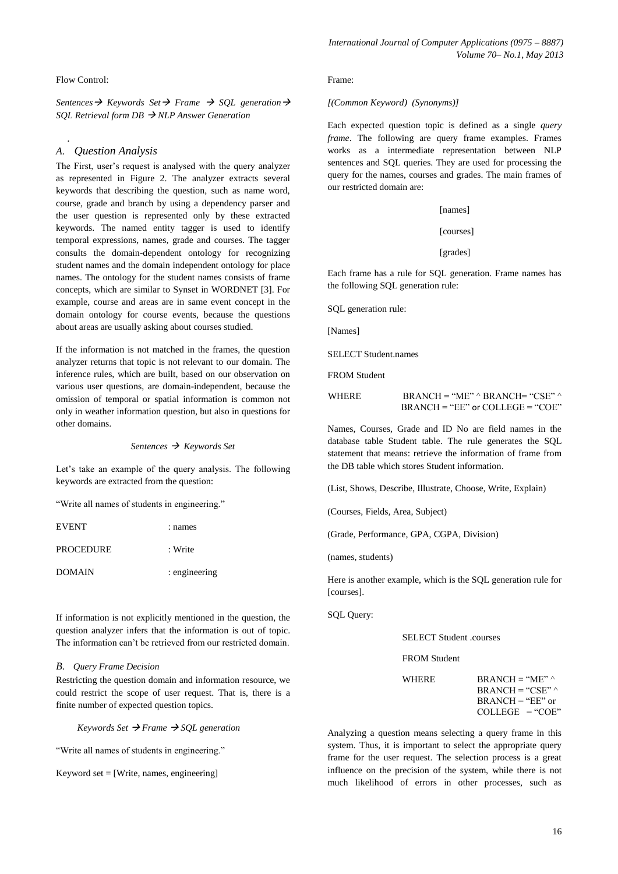Flow Control:

.

*Sentences*  $\rightarrow$  *Keywords Set*  $\rightarrow$  *Frame*  $\rightarrow$  *SQL generation*  $\rightarrow$ *SQL Retrieval form DB NLP Answer Generation*

### *A. Question Analysis*

The First, user's request is analysed with the query analyzer as represented in Figure 2. The analyzer extracts several keywords that describing the question, such as name word, course, grade and branch by using a dependency parser and the user question is represented only by these extracted keywords. The named entity tagger is used to identify temporal expressions, names, grade and courses. The tagger consults the domain-dependent ontology for recognizing student names and the domain independent ontology for place names. The ontology for the student names consists of frame concepts, which are similar to Synset in WORDNET [3]. For example, course and areas are in same event concept in the domain ontology for course events, because the questions about areas are usually asking about courses studied.

If the information is not matched in the frames, the question analyzer returns that topic is not relevant to our domain. The inference rules, which are built, based on our observation on various user questions, are domain-independent, because the omission of temporal or spatial information is common not only in weather information question, but also in questions for other domains.

*Sentences Keywords Set*

Let's take an example of the query analysis. The following keywords are extracted from the question:

"Write all names of students in engineering."

| EVENT     | : names       |
|-----------|---------------|
| PROCEDURE | : Write       |
| DOMAIN    | : engineering |

If information is not explicitly mentioned in the question, the question analyzer infers that the information is out of topic. The information can't be retrieved from our restricted domain.

#### *B. Query Frame Decision*

Restricting the question domain and information resource, we could restrict the scope of user request. That is, there is a finite number of expected question topics.

*Keywords Set*  $\rightarrow$  *Frame*  $\rightarrow$  *SQL generation* 

"Write all names of students in engineering."

Keyword set  $=$  [Write, names, engineering]

#### Frame:

#### *[(Common Keyword) (Synonyms)]*

Each expected question topic is defined as a single *query frame*. The following are query frame examples. Frames works as a intermediate representation between NLP sentences and SQL queries. They are used for processing the query for the names, courses and grades. The main frames of our restricted domain are:

[names]

[courses]

[grades]

Each frame has a rule for SQL generation. Frame names has the following SQL generation rule:

SQL generation rule:

[Names]

SELECT Student names

FROM Student

| <b>WHERE</b> | $BRANCH = "ME" \land BRANCH = "CSE" \land$ |
|--------------|--------------------------------------------|
|              | $BRANCH = "EE"$ or $COLLEGE = "COE"$       |

Names, Courses, Grade and ID No are field names in the database table Student table. The rule generates the SQL statement that means: retrieve the information of frame from the DB table which stores Student information.

(List, Shows, Describe, Illustrate, Choose, Write, Explain)

(Courses, Fields, Area, Subject)

(Grade, Performance, GPA, CGPA, Division)

(names, students)

Here is another example, which is the SQL generation rule for [courses].

SQL Query:

SELECT Student .courses

FROM Student

| <b>WHERE</b> | $BRANCH = "ME"$<br>$BRANCH = "CSE"$     |
|--------------|-----------------------------------------|
|              | $BRANCH = "EE"$ or<br>$COLIEGE = "COE"$ |

Analyzing a question means selecting a query frame in this system. Thus, it is important to select the appropriate query frame for the user request. The selection process is a great influence on the precision of the system, while there is not much likelihood of errors in other processes, such as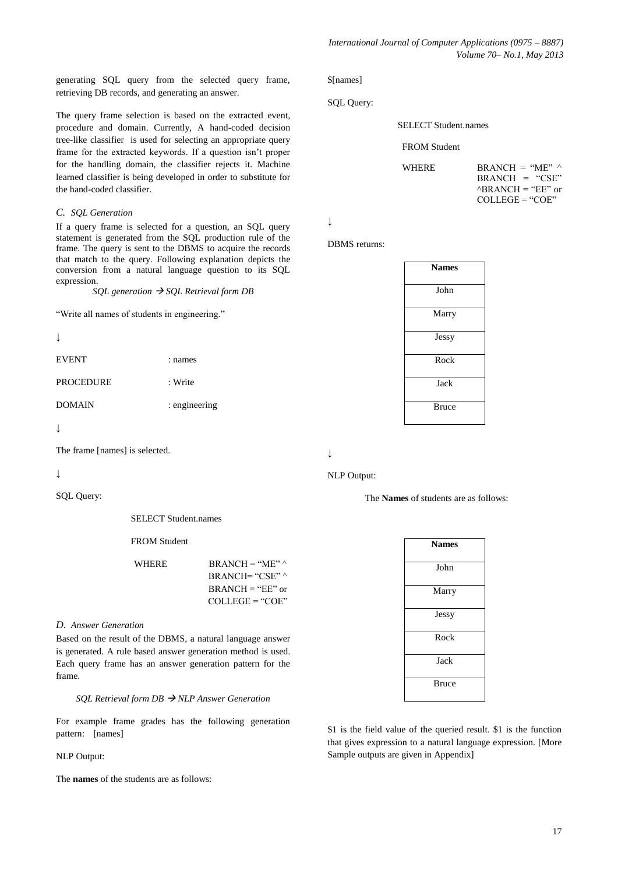generating SQL query from the selected query frame, retrieving DB records, and generating an answer.

The query frame selection is based on the extracted event, procedure and domain. Currently, A hand-coded decision tree-like classifier is used for selecting an appropriate query frame for the extracted keywords. If a question isn't proper for the handling domain, the classifier rejects it. Machine learned classifier is being developed in order to substitute for the hand-coded classifier.

#### *C. SQL Generation*

If a query frame is selected for a question, an SQL query statement is generated from the SQL production rule of the frame. The query is sent to the DBMS to acquire the records that match to the query. Following explanation depicts the conversion from a natural language question to its SQL expression.

*SOL generation*  $\rightarrow$  *SOL Retrieval form DB* 

"Write all names of students in engineering."

| ۰. |  |
|----|--|

| EVENT | : names |
|-------|---------|
|       |         |

PROCEDURE : Write

DOMAIN : engineering

```
↓
```
The frame [names] is selected.

*↓*

SOL Ouerv:

SELECT Student.names

FROM Student

| <b>WHERE</b> | $BRANCH = "ME"$            |
|--------------|----------------------------|
|              | $BRANCH= "CSE"$            |
|              | $\text{BR}$ ANCH = "EE" or |
|              | $COLLEGE = "COE"$          |

#### *D. Answer Generation*

Based on the result of the DBMS, a natural language answer is generated. A rule based answer generation method is used. Each query frame has an answer generation pattern for the frame.

#### *SQL Retrieval form DB NLP Answer Generation*

For example frame grades has the following generation pattern: [names]

#### NLP Output:

The **names** of the students are as follows:

\$[names]

SQL Query:

SELECT Student.names

FROM Student

| <b>WHERE</b> | $BRANCH = "ME"$             |
|--------------|-----------------------------|
|              | $BRANCH = "CSE"$            |
|              | $^{\circ}$ BRANCH = "EE" or |
|              | $COLIEGE = "COE"$           |

*↓*

DBMS returns:

| <b>Names</b> |  |
|--------------|--|
| John         |  |
| Marry        |  |
| Jessy        |  |
| Rock         |  |
| Jack         |  |
| <b>Bruce</b> |  |

*↓*

## NLP Output:

The **Names** of students are as follows:

| <b>Names</b> |
|--------------|
| John         |
| Marry        |
| Jessy        |
| Rock         |
| Jack         |
| <b>Bruce</b> |

\$1 is the field value of the queried result. \$1 is the function that gives expression to a natural language expression. [More Sample outputs are given in Appendix]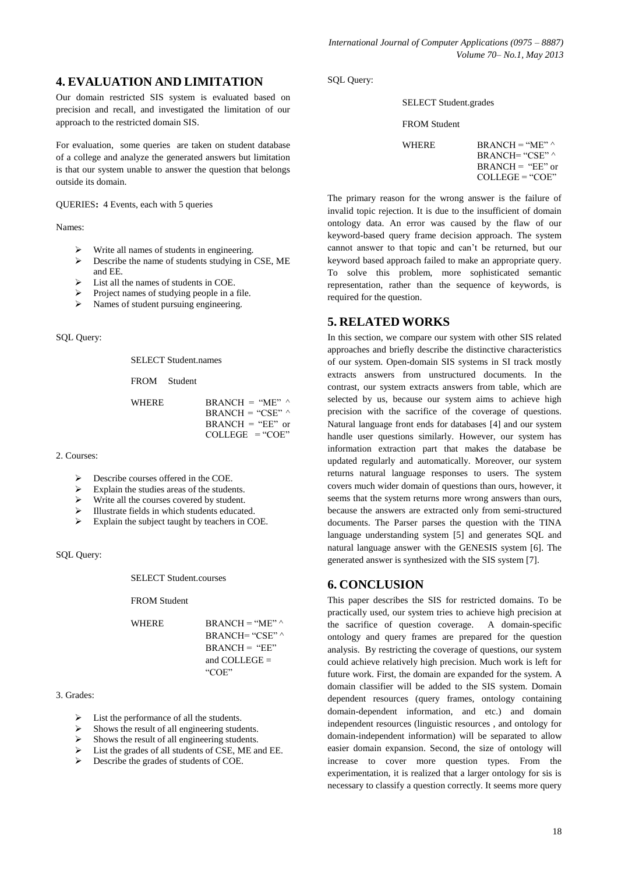# **4. EVALUATION AND LIMITATION**

Our domain restricted SIS system is evaluated based on precision and recall, and investigated the limitation of our approach to the restricted domain SIS.

For evaluation, some queries are taken on student database of a college and analyze the generated answers but limitation is that our system unable to answer the question that belongs outside its domain.

QUERIES**:** 4 Events, each with 5 queries

Names:

- $\triangleright$  Write all names of students in engineering.
- Describe the name of students studying in CSE, ME and EE.
- $\triangleright$  List all the names of students in COE.
- $\triangleright$  Project names of studying people in a file.
- $\triangleright$  Names of student pursuing engineering.

SQL Query:

SELECT Student names

FROM Student

WHERE BRANCH = "ME"  $\wedge$  $BRANCH = "CSE"$  $BRANCH = "EE"$  or  $COLLEGE = "COE"$ 

2. Courses:

- $\triangleright$  Describe courses offered in the COE.
- Explain the studies areas of the students.
- $\triangleright$  Write all the courses covered by student.
- Illustrate fields in which students educated.
- Explain the subject taught by teachers in COE.

SQL Query:

SELECT Student.courses

FROM Student

WHERE BRANCH = "ME"  $\wedge$ 

BRANCH= "CSE" ^  $BRANCH = "EE"$ and COLLEGE = "COE"

#### 3. Grades:

- $\triangleright$  List the performance of all the students.
- Shows the result of all engineering students.
- $\triangleright$  Shows the result of all engineering students.
- List the grades of all students of CSE, ME and EE.
- $\triangleright$  Describe the grades of students of COE.

SQL Query:

#### SELECT Student.grades

#### FROM Student

WHERE BRANCH = "ME"  $\wedge$  $BRANCE = "CSE"$  $BRANCH = "EE"$  or COLLEGE = "COE"

The primary reason for the wrong answer is the failure of invalid topic rejection. It is due to the insufficient of domain ontology data. An error was caused by the flaw of our keyword-based query frame decision approach. The system cannot answer to that topic and can't be returned, but our keyword based approach failed to make an appropriate query. To solve this problem, more sophisticated semantic representation, rather than the sequence of keywords, is required for the question.

# **5. RELATED WORKS**

In this section, we compare our system with other SIS related approaches and briefly describe the distinctive characteristics of our system. Open-domain SIS systems in SI track mostly extracts answers from unstructured documents. In the contrast, our system extracts answers from table, which are selected by us, because our system aims to achieve high precision with the sacrifice of the coverage of questions. Natural language front ends for databases [4] and our system handle user questions similarly. However, our system has information extraction part that makes the database be updated regularly and automatically. Moreover, our system returns natural language responses to users. The system covers much wider domain of questions than ours, however, it seems that the system returns more wrong answers than ours, because the answers are extracted only from semi-structured documents. The Parser parses the question with the TINA language understanding system [5] and generates SQL and natural language answer with the GENESIS system [6]. The generated answer is synthesized with the SIS system [7].

# **6. CONCLUSION**

This paper describes the SIS for restricted domains. To be practically used, our system tries to achieve high precision at the sacrifice of question coverage. A domain-specific ontology and query frames are prepared for the question analysis. By restricting the coverage of questions, our system could achieve relatively high precision. Much work is left for future work. First, the domain are expanded for the system. A domain classifier will be added to the SIS system. Domain dependent resources (query frames, ontology containing domain-dependent information, and etc.) and domain independent resources (linguistic resources , and ontology for domain-independent information) will be separated to allow easier domain expansion. Second, the size of ontology will increase to cover more question types. From the experimentation, it is realized that a larger ontology for sis is necessary to classify a question correctly. It seems more query